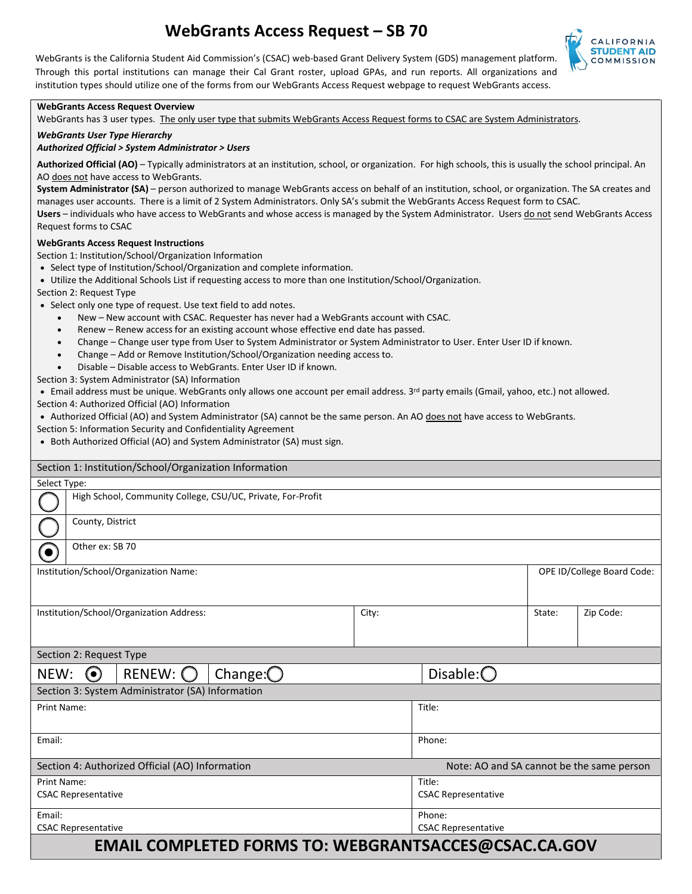# **WebGrants Access Request – SB 70**



WebGrants is the California Student Aid Commission's (CSAC) web-based Grant Delivery System (GDS) management platform. Through this portal institutions can manage their Cal Grant roster, upload GPAs, and run reports. All organizations and institution types should utilize one of the forms from our WebGrants Access Request webpage to request WebGrants access.

#### **WebGrants Access Request Overview**

WebGrants has 3 user types. The only user type that submits WebGrants Access Request forms to CSAC are System Administrators.

#### *WebGrants User Type Hierarchy*

#### *Authorized Official > System Administrator > Users*

 **Authorized Official (AO)** – Typically administrators at an institution, school, or organization. For high schools, this is usually the school principal. An AO does not have access to WebGrants.

 **System Administrator (SA)** – person authorized to manage WebGrants access on behalf of an institution, school, or organization. The SA creates and gamza<br>form to<br><u>do not</u> manages user accounts. There is a limit of 2 System Administrators. Only SA's submit the WebGrants Access Request form to CSAC. Users – individuals who have access to WebGrants and whose access is managed by the System Administrator. Users do not send WebGrants Access Request forms to CSAC

#### **WebGrants Access Request Instructions**

Section 1: Institution/School/Organization Information

- Select type of Institution/School/Organization and complete information.
- Utilize the Additional Schools List if requesting access to more than one Institution/School/Organization.

Section 2: Request Type

- Select only one type of request. Use text field to add notes.
	- New New account with CSAC. Requester has never had a WebGrants account with CSAC.
	- Renew Renew access for an existing account whose effective end date has passed.
	- Change Change user type from User to System Administrator or System Administrator to User. Enter User ID if known.
	- Change Add or Remove Institution/School/Organization needing access to.
	- Disable Disable access to WebGrants. Enter User ID if known.

Section 3: System Administrator (SA) Information

• Email address must be unique. WebGrants only allows one account per email address. 3<sup>rd</sup> party emails (Gmail, yahoo, etc.) not allowed.

Section 4: Authorized Official (AO) Information

- Authorized Official (AO) and System Administrator (SA) cannot be the same person. An AO does not have access to WebGrants.
- Section 5: Information Security and Confidentiality Agreement
- Both Authorized Official (AO) and System Administrator (SA) must sign.

| Section 1: Institution/School/Organization Information       |                                                             |  |  |  |       |                                           |                            |           |
|--------------------------------------------------------------|-------------------------------------------------------------|--|--|--|-------|-------------------------------------------|----------------------------|-----------|
| Select Type:                                                 |                                                             |  |  |  |       |                                           |                            |           |
|                                                              | High School, Community College, CSU/UC, Private, For-Profit |  |  |  |       |                                           |                            |           |
|                                                              | County, District                                            |  |  |  |       |                                           |                            |           |
| $\left( \bullet \right)$                                     | Other ex: SB 70                                             |  |  |  |       |                                           |                            |           |
| Institution/School/Organization Name:                        |                                                             |  |  |  |       |                                           | OPE ID/College Board Code: |           |
| Institution/School/Organization Address:                     |                                                             |  |  |  | City: |                                           | State:                     | Zip Code: |
| Section 2: Request Type                                      |                                                             |  |  |  |       |                                           |                            |           |
| $RENEW:$ $\bigcirc$<br>Change: $\bigcirc$<br>$\odot$<br>NEW: |                                                             |  |  |  |       | Disable: $\bigcirc$                       |                            |           |
| Section 3: System Administrator (SA) Information             |                                                             |  |  |  |       |                                           |                            |           |
| Print Name:                                                  |                                                             |  |  |  |       | Title:                                    |                            |           |
| Email:                                                       |                                                             |  |  |  |       | Phone:                                    |                            |           |
| Section 4: Authorized Official (AO) Information              |                                                             |  |  |  |       | Note: AO and SA cannot be the same person |                            |           |
| Print Name:                                                  |                                                             |  |  |  |       | Title:                                    |                            |           |
| <b>CSAC Representative</b>                                   |                                                             |  |  |  |       | <b>CSAC Representative</b>                |                            |           |
| Email:                                                       |                                                             |  |  |  |       | Phone:                                    |                            |           |
| <b>CSAC Representative</b>                                   |                                                             |  |  |  |       | <b>CSAC Representative</b>                |                            |           |
| <b>EMAIL COMPLETED FORMS TO: WEBGRANTSACCES@CSAC.CA.GOV</b>  |                                                             |  |  |  |       |                                           |                            |           |